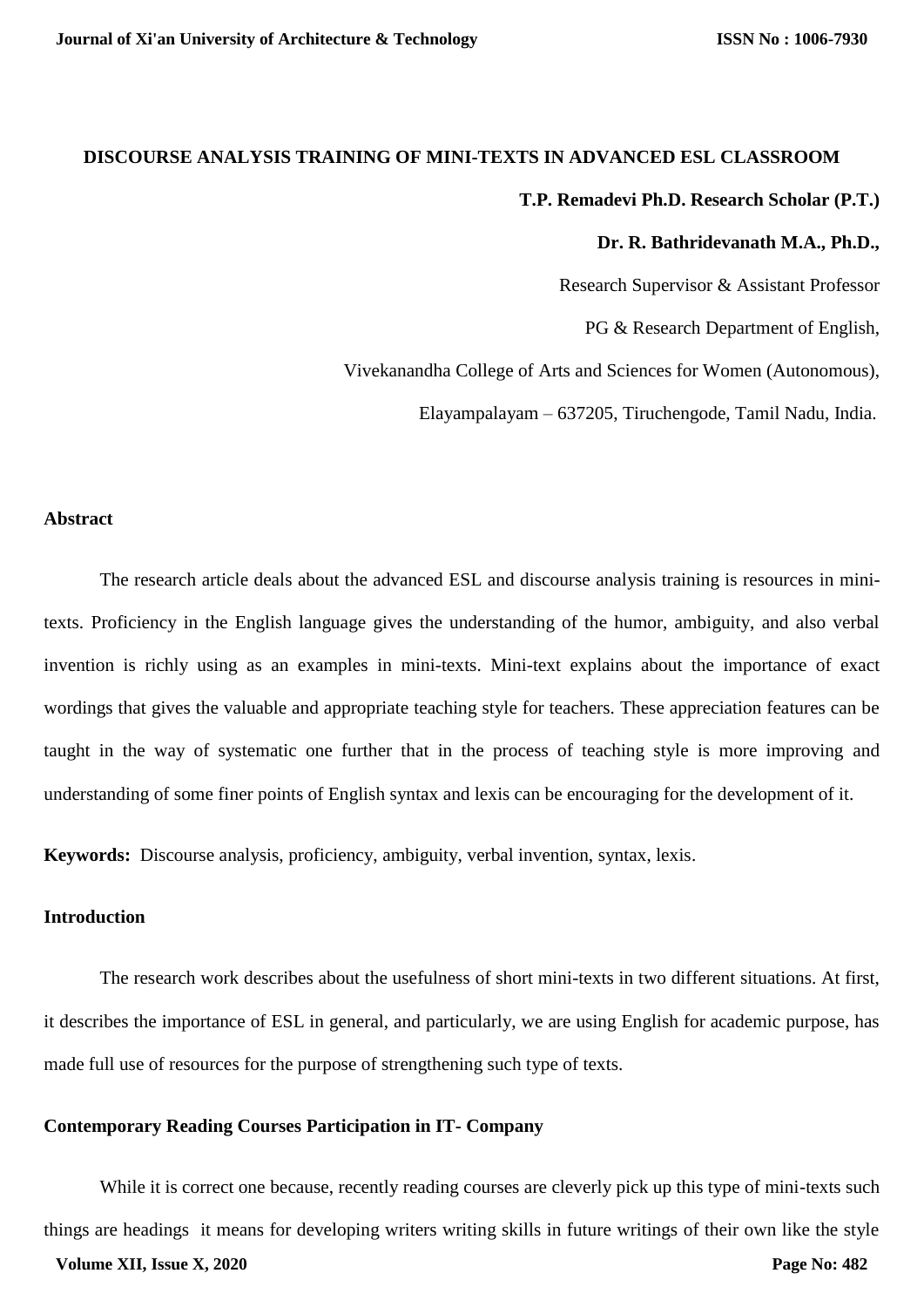# **DISCOURSE ANALYSIS TRAINING OF MINI-TEXTS IN ADVANCED ESL CLASSROOM T.P. Remadevi Ph.D. Research Scholar (P.T.)**

### **Dr. R. Bathridevanath M.A., Ph.D.,**

Research Supervisor & Assistant Professor

PG & Research Department of English,

Vivekanandha College of Arts and Sciences for Women (Autonomous),

Elayampalayam – 637205, Tiruchengode, Tamil Nadu, India.

## **Abstract**

The research article deals about the advanced ESL and discourse analysis training is resources in minitexts. Proficiency in the English language gives the understanding of the humor, ambiguity, and also verbal invention is richly using as an examples in mini-texts. Mini-text explains about the importance of exact wordings that gives the valuable and appropriate teaching style for teachers. These appreciation features can be taught in the way of systematic one further that in the process of teaching style is more improving and understanding of some finer points of English syntax and lexis can be encouraging for the development of it.

**Keywords:** Discourse analysis, proficiency, ambiguity, verbal invention, syntax, lexis.

# **Introduction**

The research work describes about the usefulness of short mini-texts in two different situations. At first, it describes the importance of ESL in general, and particularly, we are using English for academic purpose, has made full use of resources for the purpose of strengthening such type of texts.

## **Contemporary Reading Courses Participation in IT- Company**

While it is correct one because, recently reading courses are cleverly pick up this type of mini-texts such things are headings it means for developing writers writing skills in future writings of their own like the style **Volume XII, Issue X, 2020 Page No: 482**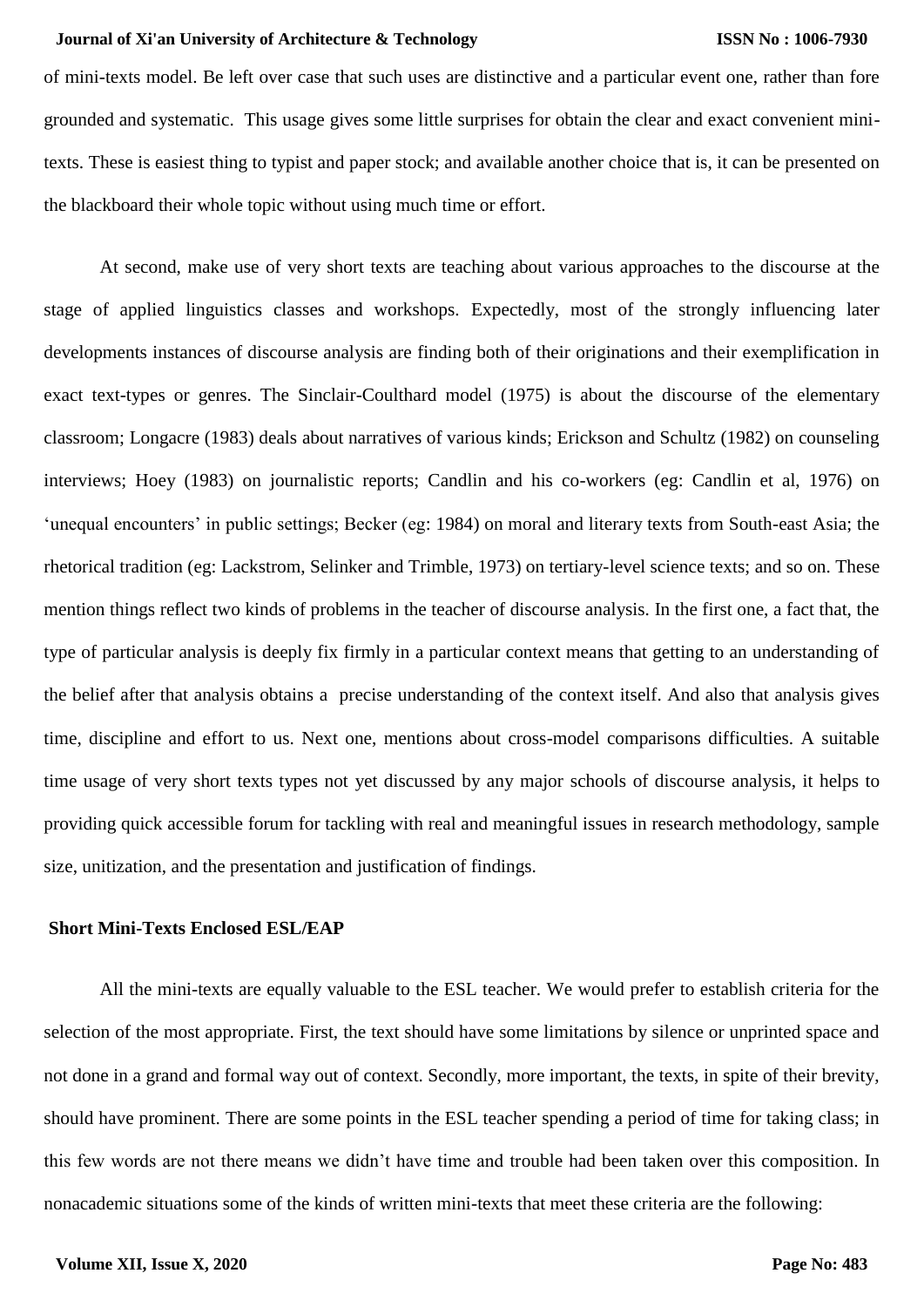of mini-texts model. Be left over case that such uses are distinctive and a particular event one, rather than fore grounded and systematic. This usage gives some little surprises for obtain the clear and exact convenient minitexts. These is easiest thing to typist and paper stock; and available another choice that is, it can be presented on the blackboard their whole topic without using much time or effort.

At second, make use of very short texts are teaching about various approaches to the discourse at the stage of applied linguistics classes and workshops. Expectedly, most of the strongly influencing later developments instances of discourse analysis are finding both of their originations and their exemplification in exact text-types or genres. The Sinclair-Coulthard model (1975) is about the discourse of the elementary classroom; Longacre (1983) deals about narratives of various kinds; Erickson and Schultz (1982) on counseling interviews; Hoey (1983) on journalistic reports; Candlin and his co-workers (eg: Candlin et al, 1976) on 'unequal encounters' in public settings; Becker (eg: 1984) on moral and literary texts from South-east Asia; the rhetorical tradition (eg: Lackstrom, Selinker and Trimble, 1973) on tertiary-level science texts; and so on. These mention things reflect two kinds of problems in the teacher of discourse analysis. In the first one, a fact that, the type of particular analysis is deeply fix firmly in a particular context means that getting to an understanding of the belief after that analysis obtains a precise understanding of the context itself. And also that analysis gives time, discipline and effort to us. Next one, mentions about cross-model comparisons difficulties. A suitable time usage of very short texts types not yet discussed by any major schools of discourse analysis, it helps to providing quick accessible forum for tackling with real and meaningful issues in research methodology, sample size, unitization, and the presentation and justification of findings.

## **Short Mini-Texts Enclosed ESL/EAP**

All the mini-texts are equally valuable to the ESL teacher. We would prefer to establish criteria for the selection of the most appropriate. First, the text should have some limitations by silence or unprinted space and not done in a grand and formal way out of context. Secondly, more important, the texts, in spite of their brevity, should have prominent. There are some points in the ESL teacher spending a period of time for taking class; in this few words are not there means we didn't have time and trouble had been taken over this composition. In nonacademic situations some of the kinds of written mini-texts that meet these criteria are the following: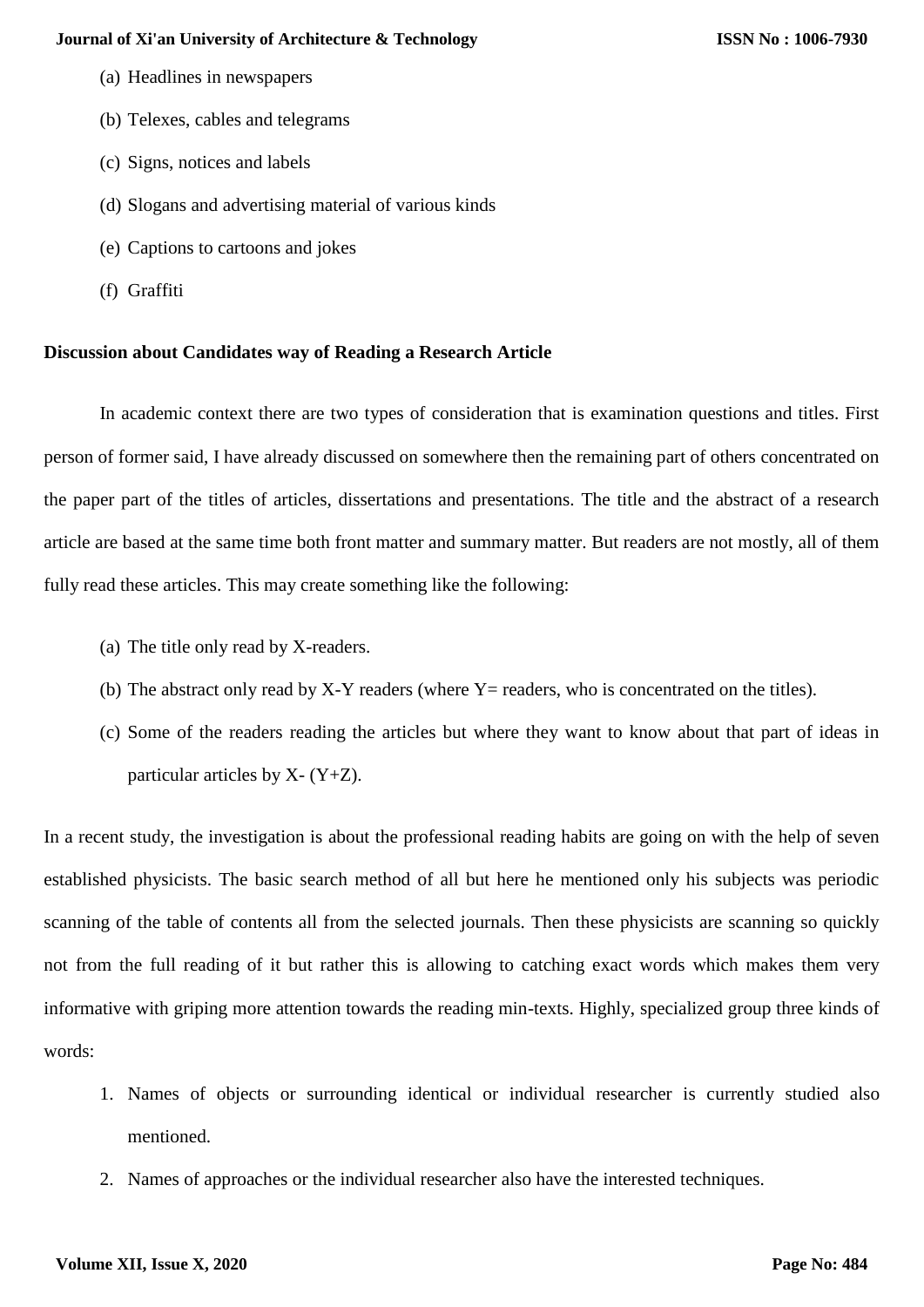- (a) Headlines in newspapers
- (b) Telexes, cables and telegrams
- (c) Signs, notices and labels
- (d) Slogans and advertising material of various kinds
- (e) Captions to cartoons and jokes
- (f) Graffiti

## **Discussion about Candidates way of Reading a Research Article**

In academic context there are two types of consideration that is examination questions and titles. First person of former said, I have already discussed on somewhere then the remaining part of others concentrated on the paper part of the titles of articles, dissertations and presentations. The title and the abstract of a research article are based at the same time both front matter and summary matter. But readers are not mostly, all of them fully read these articles. This may create something like the following:

- (a) The title only read by X-readers.
- (b) The abstract only read by  $X-Y$  readers (where  $Y =$  readers, who is concentrated on the titles).
- (c) Some of the readers reading the articles but where they want to know about that part of ideas in particular articles by  $X - (Y + Z)$ .

In a recent study, the investigation is about the professional reading habits are going on with the help of seven established physicists. The basic search method of all but here he mentioned only his subjects was periodic scanning of the table of contents all from the selected journals. Then these physicists are scanning so quickly not from the full reading of it but rather this is allowing to catching exact words which makes them very informative with griping more attention towards the reading min-texts. Highly, specialized group three kinds of words:

- 1. Names of objects or surrounding identical or individual researcher is currently studied also mentioned.
- 2. Names of approaches or the individual researcher also have the interested techniques.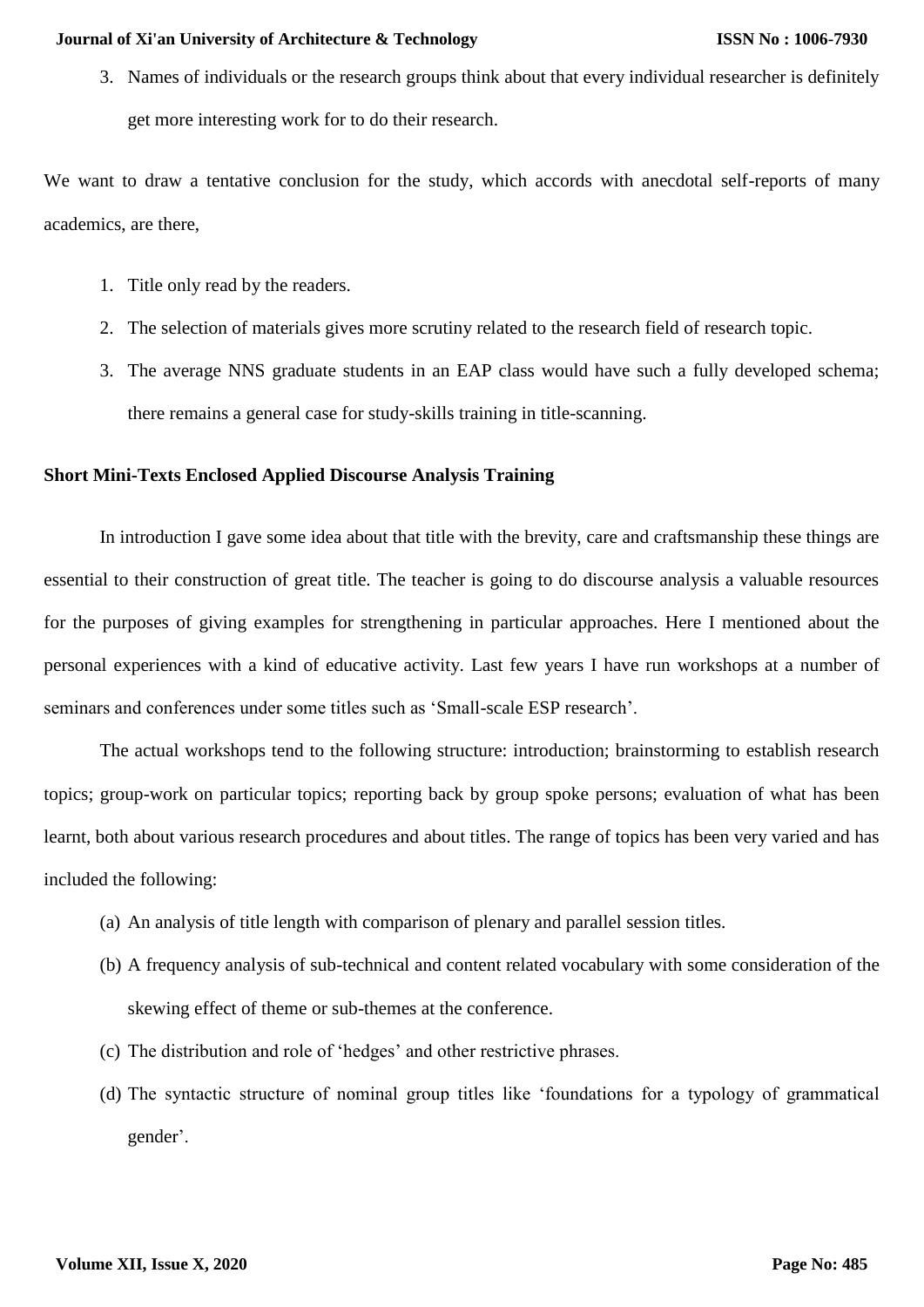3. Names of individuals or the research groups think about that every individual researcher is definitely get more interesting work for to do their research.

We want to draw a tentative conclusion for the study, which accords with anecdotal self-reports of many academics, are there,

- 1. Title only read by the readers.
- 2. The selection of materials gives more scrutiny related to the research field of research topic.
- 3. The average NNS graduate students in an EAP class would have such a fully developed schema; there remains a general case for study-skills training in title-scanning.

# **Short Mini-Texts Enclosed Applied Discourse Analysis Training**

In introduction I gave some idea about that title with the brevity, care and craftsmanship these things are essential to their construction of great title. The teacher is going to do discourse analysis a valuable resources for the purposes of giving examples for strengthening in particular approaches. Here I mentioned about the personal experiences with a kind of educative activity. Last few years I have run workshops at a number of seminars and conferences under some titles such as 'Small-scale ESP research'.

The actual workshops tend to the following structure: introduction; brainstorming to establish research topics; group-work on particular topics; reporting back by group spoke persons; evaluation of what has been learnt, both about various research procedures and about titles. The range of topics has been very varied and has included the following:

- (a) An analysis of title length with comparison of plenary and parallel session titles.
- (b) A frequency analysis of sub-technical and content related vocabulary with some consideration of the skewing effect of theme or sub-themes at the conference.
- (c) The distribution and role of 'hedges' and other restrictive phrases.
- (d) The syntactic structure of nominal group titles like 'foundations for a typology of grammatical gender'.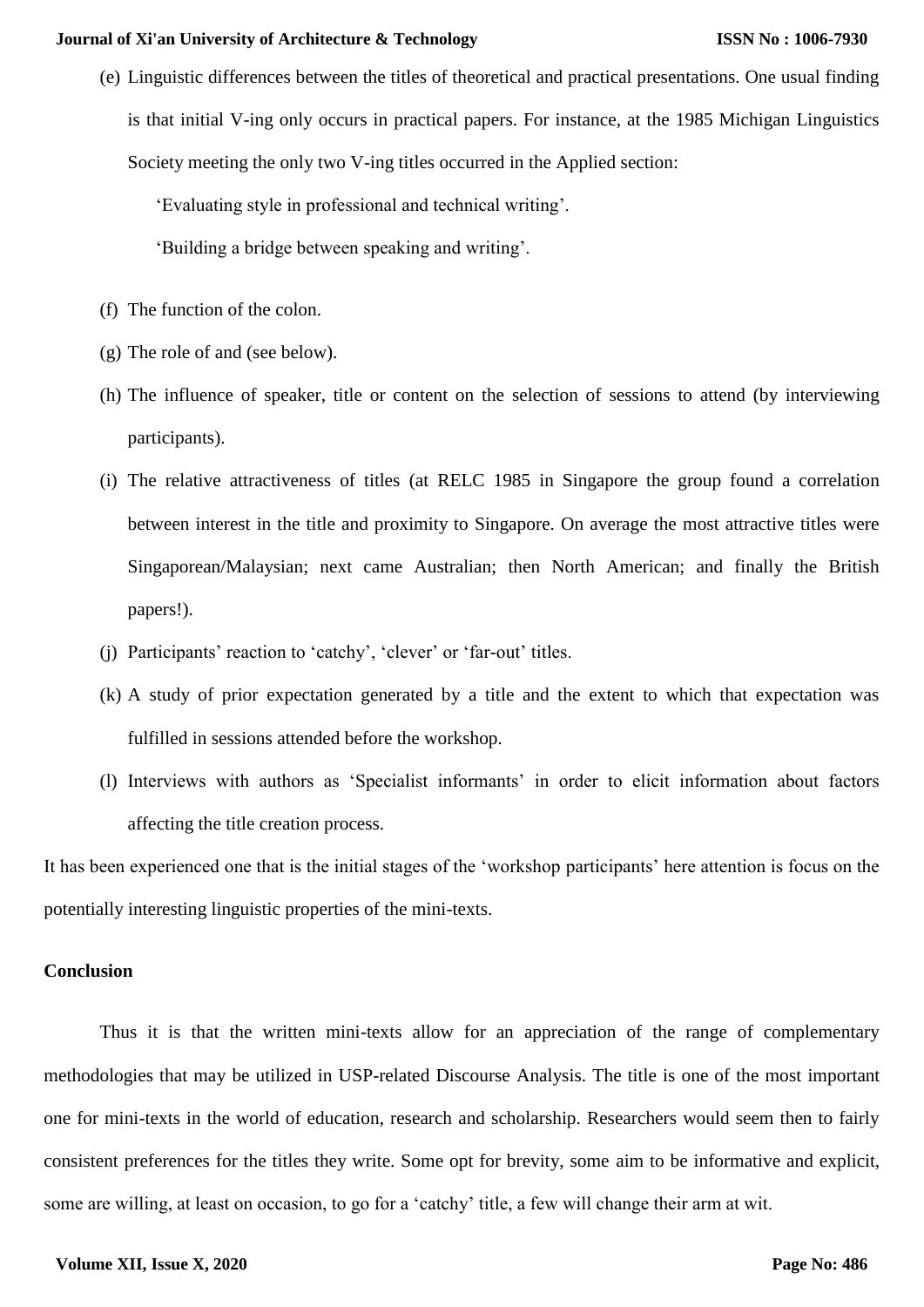(e) Linguistic differences between the titles of theoretical and practical presentations. One usual finding is that initial V-ing only occurs in practical papers. For instance, at the 1985 Michigan Linguistics Society meeting the only two V-ing titles occurred in the Applied section:

'Evaluating style in professional and technical writing'.

'Building a bridge between speaking and writing'.

- (f) The function of the colon.
- (g) The role of and (see below).
- (h) The influence of speaker, title or content on the selection of sessions to attend (by interviewing participants).
- (i) The relative attractiveness of titles (at RELC 1985 in Singapore the group found a correlation between interest in the title and proximity to Singapore. On average the most attractive titles were Singaporean/Malaysian; next came Australian; then North American; and finally the British papers!).
- (j) Participants' reaction to 'catchy', 'clever' or 'far-out' titles.
- (k) A study of prior expectation generated by a title and the extent to which that expectation was fulfilled in sessions attended before the workshop.
- (l) Interviews with authors as 'Specialist informants' in order to elicit information about factors affecting the title creation process.

It has been experienced one that is the initial stages of the 'workshop participants' here attention is focus on the potentially interesting linguistic properties of the mini-texts.

## **Conclusion**

Thus it is that the written mini-texts allow for an appreciation of the range of complementary methodologies that may be utilized in USP-related Discourse Analysis. The title is one of the most important one for mini-texts in the world of education, research and scholarship. Researchers would seem then to fairly consistent preferences for the titles they write. Some opt for brevity, some aim to be informative and explicit, some are willing, at least on occasion, to go for a 'catchy' title, a few will change their arm at wit.